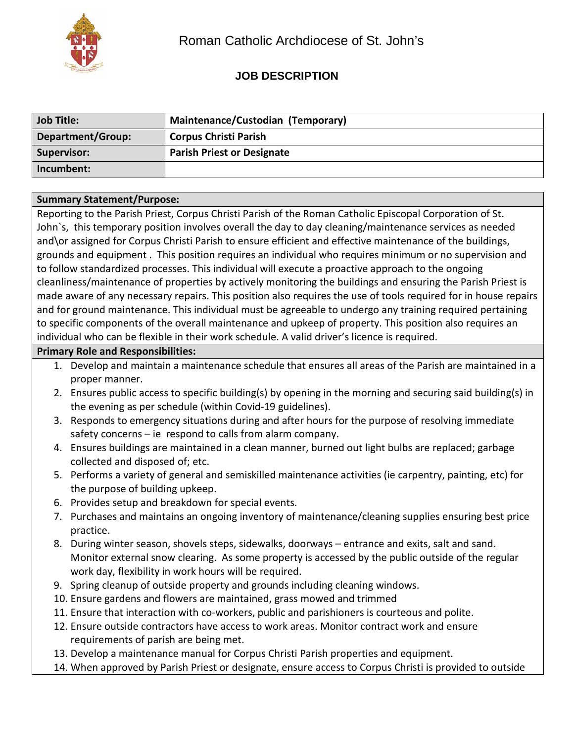

# **JOB DESCRIPTION**

| <b>Job Title:</b> | Maintenance/Custodian (Temporary) |
|-------------------|-----------------------------------|
| Department/Group: | <b>Corpus Christi Parish</b>      |
| Supervisor:       | <b>Parish Priest or Designate</b> |
| Incumbent:        |                                   |

#### **Summary Statement/Purpose:**

Reporting to the Parish Priest, Corpus Christi Parish of the Roman Catholic Episcopal Corporation of St. John`s, this temporary position involves overall the day to day cleaning/maintenance services as needed and\or assigned for Corpus Christi Parish to ensure efficient and effective maintenance of the buildings, grounds and equipment . This position requires an individual who requires minimum or no supervision and to follow standardized processes. This individual will execute a proactive approach to the ongoing cleanliness/maintenance of properties by actively monitoring the buildings and ensuring the Parish Priest is made aware of any necessary repairs. This position also requires the use of tools required for in house repairs and for ground maintenance. This individual must be agreeable to undergo any training required pertaining to specific components of the overall maintenance and upkeep of property. This position also requires an individual who can be flexible in their work schedule. A valid driver's licence is required.

#### **Primary Role and Responsibilities:**

- 1. Develop and maintain a maintenance schedule that ensures all areas of the Parish are maintained in a proper manner.
- 2. Ensures public access to specific building(s) by opening in the morning and securing said building(s) in the evening as per schedule (within Covid-19 guidelines).
- 3. Responds to emergency situations during and after hours for the purpose of resolving immediate safety concerns – ie respond to calls from alarm company.
- 4. Ensures buildings are maintained in a clean manner, burned out light bulbs are replaced; garbage collected and disposed of; etc.
- 5. Performs a variety of general and semiskilled maintenance activities (ie carpentry, painting, etc) for the purpose of building upkeep.
- 6. Provides setup and breakdown for special events.
- 7. Purchases and maintains an ongoing inventory of maintenance/cleaning supplies ensuring best price practice.
- 8. During winter season, shovels steps, sidewalks, doorways entrance and exits, salt and sand. Monitor external snow clearing. As some property is accessed by the public outside of the regular work day, flexibility in work hours will be required.
- 9. Spring cleanup of outside property and grounds including cleaning windows.
- 10. Ensure gardens and flowers are maintained, grass mowed and trimmed
- 11. Ensure that interaction with co-workers, public and parishioners is courteous and polite.
- 12. Ensure outside contractors have access to work areas. Monitor contract work and ensure requirements of parish are being met.
- 13. Develop a maintenance manual for Corpus Christi Parish properties and equipment.
- 14. When approved by Parish Priest or designate, ensure access to Corpus Christi is provided to outside